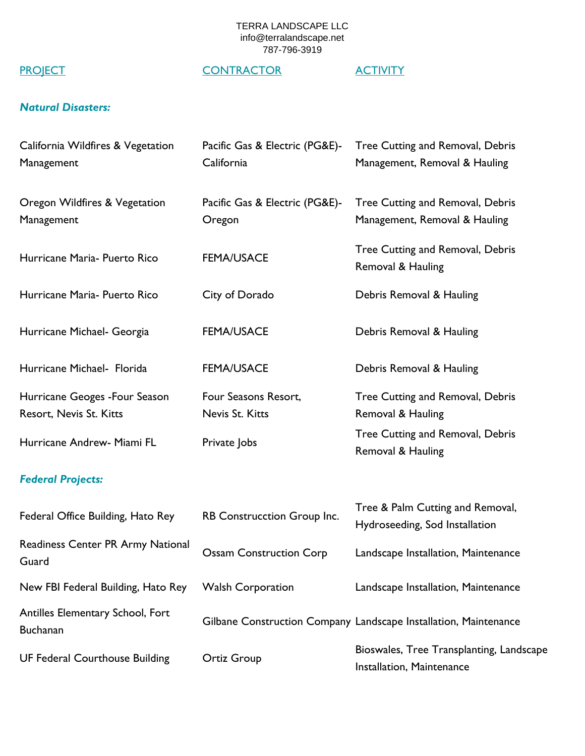# PROJECT CONTRACTOR ACTIVITY

## *Natural Disasters:*

| California Wildfires & Vegetation<br>Management           | Pacific Gas & Electric (PG&E)-<br>California | Tree Cutting and Removal, Debris<br>Management, Removal & Hauling     |
|-----------------------------------------------------------|----------------------------------------------|-----------------------------------------------------------------------|
| Oregon Wildfires & Vegetation<br>Management               | Pacific Gas & Electric (PG&E)-<br>Oregon     | Tree Cutting and Removal, Debris<br>Management, Removal & Hauling     |
| Hurricane Maria- Puerto Rico                              | <b>FEMA/USACE</b>                            | Tree Cutting and Removal, Debris<br>Removal & Hauling                 |
| Hurricane Maria- Puerto Rico                              | City of Dorado                               | Debris Removal & Hauling                                              |
| Hurricane Michael- Georgia                                | <b>FEMA/USACE</b>                            | Debris Removal & Hauling                                              |
| Hurricane Michael- Florida                                | <b>FEMA/USACE</b>                            | Debris Removal & Hauling                                              |
| Hurricane Geoges - Four Season<br>Resort, Nevis St. Kitts | Four Seasons Resort,<br>Nevis St. Kitts      | Tree Cutting and Removal, Debris<br>Removal & Hauling                 |
| Hurricane Andrew- Miami FL                                | Private Jobs                                 | Tree Cutting and Removal, Debris<br>Removal & Hauling                 |
| <b>Federal Projects:</b>                                  |                                              |                                                                       |
| Federal Office Building, Hato Rey                         | RB Construcction Group Inc.                  | Tree & Palm Cutting and Removal,<br>Hydroseeding, Sod Installation    |
| Readiness Center PR Army National<br>Guard                | <b>Ossam Construction Corp</b>               | Landscape Installation, Maintenance                                   |
| New FBI Federal Building, Hato Rey                        | <b>Walsh Corporation</b>                     | Landscape Installation, Maintenance                                   |
| Antilles Elementary School, Fort<br><b>Buchanan</b>       |                                              | Gilbane Construction Company Landscape Installation, Maintenance      |
| <b>UF Federal Courthouse Building</b>                     | <b>Ortiz Group</b>                           | Bioswales, Tree Transplanting, Landscape<br>Installation, Maintenance |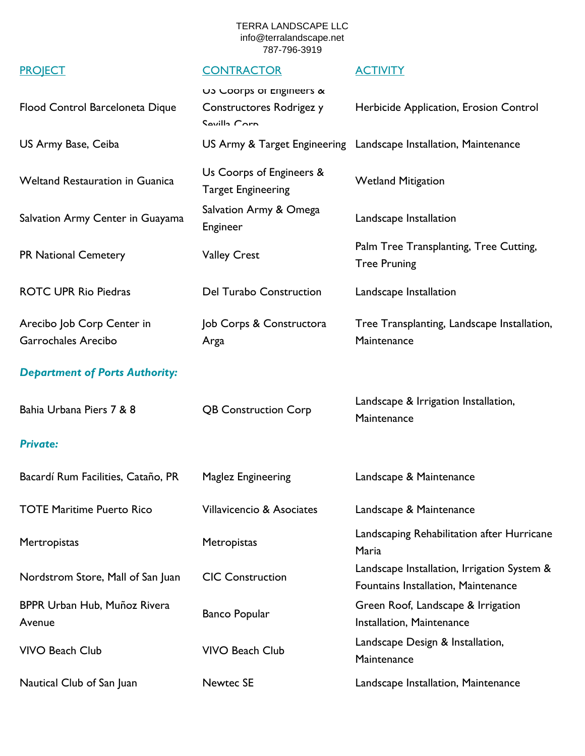### PROJECT CONTRACTOR ACTIVITY

## Flood Control Barceloneta Dique US Coorps of Engineers & Constructores Rodrigez y Sevilla Corp. Herbicide Application, Erosion Control US Army Base, Ceiba **US Army & Target Engineering** Landscape Installation, Maintenance Weltand Restauration in Guanica Us Coorps of Engineers & Target Engineering Wetland Mitigation Salvation Army Center in Guayama Salvation Army & Omega Engineer Landscape Installation PR National Cemetery Valley Crest Palm Tree Transplanting, Tree Cutting, Tree Pruning ROTC UPR Rio Piedras **Del Turabo Construction** Landscape Installation Arecibo Job Corp Center in Garrochales Arecibo Job Corps & Constructora Arga Tree Transplanting, Landscape Installation, **Maintenance** *Department of Ports Authority:* Bahia Urbana Piers 7 & 8 <br>
QB Construction Corp Landscape & Irrigation Installation, **Maintenance** *Private:* Bacardí Rum Facilities, Cataño, PR Maglez Engineering Landscape & Maintenance TOTE Maritime Puerto Rico Villavicencio & Asociates Landscape & Maintenance Mertropistas Metropistas Landscaping Rehabilitation after Hurricane Maria Nordstrom Store, Mall of San Juan CIC Construction Landscape Installation, Irrigation System & Fountains Installation, Maintenance BPPR Urban Hub, Muñoz Rivera Avenue Banco Popular Green Roof, Landscape & Irrigation Installation, Maintenance VIVO Beach Club VIVO Beach Club Landscape Design & Installation, **Maintenance** Nautical Club of San Juan Newtec SE Landscape Installation, Maintenance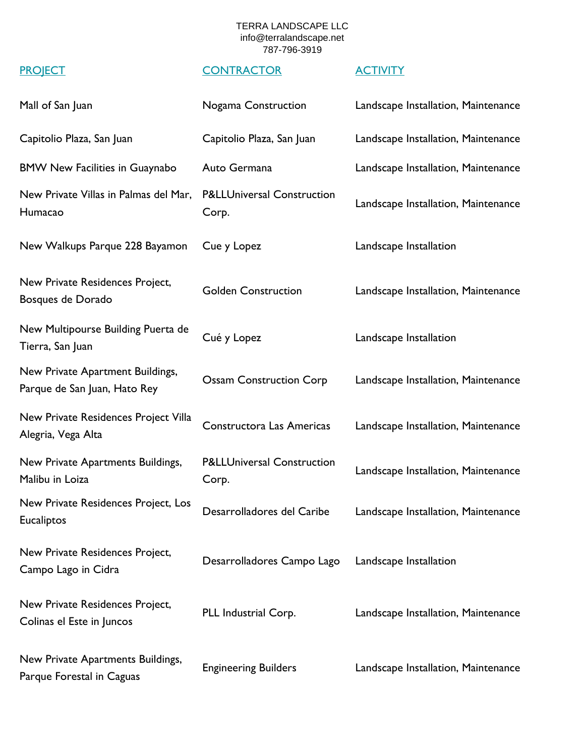| Mall of San Juan                                                 | Nogama Construction                            | Landscape Installation, Maintenance |
|------------------------------------------------------------------|------------------------------------------------|-------------------------------------|
| Capitolio Plaza, San Juan                                        | Capitolio Plaza, San Juan                      | Landscape Installation, Maintenance |
| <b>BMW New Facilities in Guaynabo</b>                            | Auto Germana                                   | Landscape Installation, Maintenance |
| New Private Villas in Palmas del Mar,<br>Humacao                 | <b>P&amp;LLUniversal Construction</b><br>Corp. | Landscape Installation, Maintenance |
| New Walkups Parque 228 Bayamon                                   | Cue y Lopez                                    | Landscape Installation              |
| New Private Residences Project,<br>Bosques de Dorado             | <b>Golden Construction</b>                     | Landscape Installation, Maintenance |
| New Multipourse Building Puerta de<br>Tierra, San Juan           | Cué y Lopez                                    | Landscape Installation              |
| New Private Apartment Buildings,<br>Parque de San Juan, Hato Rey | <b>Ossam Construction Corp</b>                 | Landscape Installation, Maintenance |
| New Private Residences Project Villa<br>Alegria, Vega Alta       | Constructora Las Americas                      | Landscape Installation, Maintenance |
| New Private Apartments Buildings,<br>Malibu in Loiza             | <b>P&amp;LLUniversal Construction</b><br>Corp. | Landscape Installation, Maintenance |
| New Private Residences Project, Los<br><b>Eucaliptos</b>         | Desarrolladores del Caribe                     | Landscape Installation, Maintenance |
| New Private Residences Project,<br>Campo Lago in Cidra           | Desarrolladores Campo Lago                     | Landscape Installation              |
| New Private Residences Project,<br>Colinas el Este in Juncos     | PLL Industrial Corp.                           | Landscape Installation, Maintenance |
| New Private Apartments Buildings,<br>Parque Forestal in Caguas   | <b>Engineering Builders</b>                    | Landscape Installation, Maintenance |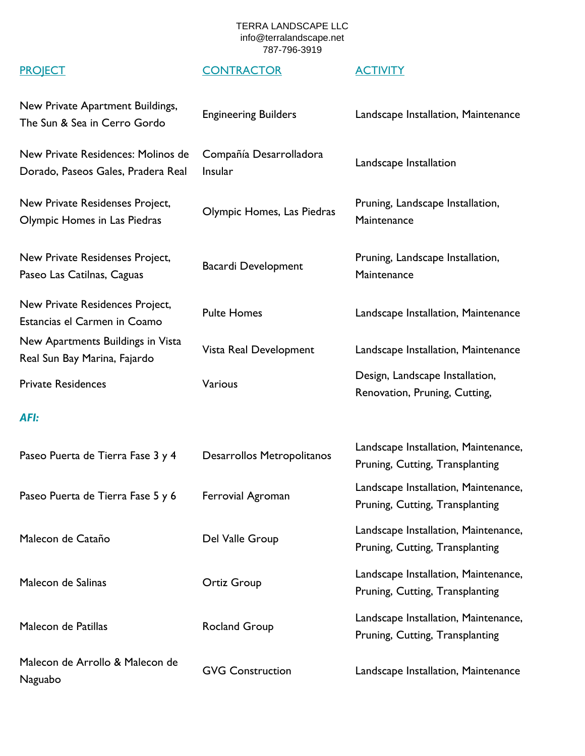| New Private Apartment Buildings,<br>The Sun & Sea in Cerro Gordo         | <b>Engineering Builders</b>        | Landscape Installation, Maintenance                                     |
|--------------------------------------------------------------------------|------------------------------------|-------------------------------------------------------------------------|
| New Private Residences: Molinos de<br>Dorado, Paseos Gales, Pradera Real | Compañía Desarrolladora<br>Insular | Landscape Installation                                                  |
| New Private Residenses Project,<br>Olympic Homes in Las Piedras          | Olympic Homes, Las Piedras         | Pruning, Landscape Installation,<br>Maintenance                         |
| New Private Residenses Project,<br>Paseo Las Catilnas, Caguas            | Bacardi Development                | Pruning, Landscape Installation,<br>Maintenance                         |
| New Private Residences Project,<br>Estancias el Carmen in Coamo          | <b>Pulte Homes</b>                 | Landscape Installation, Maintenance                                     |
| New Apartments Buildings in Vista<br>Real Sun Bay Marina, Fajardo        | Vista Real Development             | Landscape Installation, Maintenance                                     |
| <b>Private Residences</b>                                                | Various                            | Design, Landscape Installation,<br>Renovation, Pruning, Cutting,        |
| <b>AFI:</b>                                                              |                                    |                                                                         |
| Paseo Puerta de Tierra Fase 3 y 4                                        | Desarrollos Metropolitanos         | Landscape Installation, Maintenance,<br>Pruning, Cutting, Transplanting |
| Paseo Puerta de Tierra Fase 5 y 6                                        | Ferrovial Agroman                  | Landscape Installation, Maintenance,<br>Pruning, Cutting, Transplanting |
| Malecon de Cataño                                                        | Del Valle Group                    | Landscape Installation, Maintenance,<br>Pruning, Cutting, Transplanting |
| Malecon de Salinas                                                       | <b>Ortiz Group</b>                 | Landscape Installation, Maintenance,<br>Pruning, Cutting, Transplanting |
| Malecon de Patillas                                                      | <b>Rocland Group</b>               | Landscape Installation, Maintenance,<br>Pruning, Cutting, Transplanting |
| Malecon de Arrollo & Malecon de<br>Naguabo                               | <b>GVG Construction</b>            | Landscape Installation, Maintenance                                     |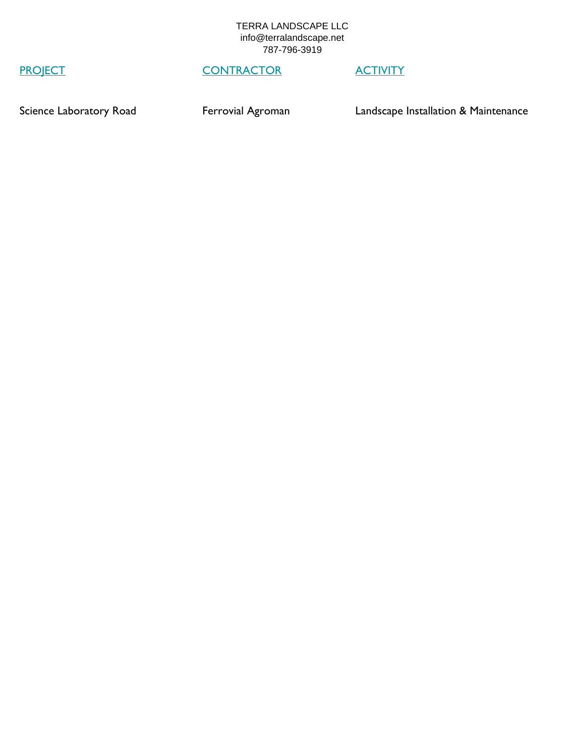# PROJECT CONTRACTOR ACTIVITY

Science Laboratory Road **Ferrovial Agroman** Landscape Installation & Maintenance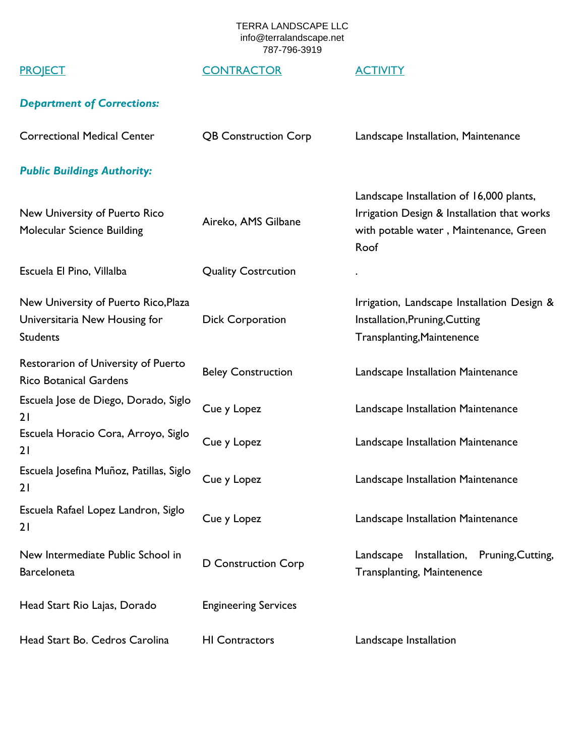# PROJECT CONTRACTOR ACTIVITY

# *Department of Corrections:*

| <b>Correctional Medical Center</b>                                                       | <b>QB Construction Corp</b> | Landscape Installation, Maintenance                                                                                                       |
|------------------------------------------------------------------------------------------|-----------------------------|-------------------------------------------------------------------------------------------------------------------------------------------|
| <b>Public Buildings Authority:</b>                                                       |                             |                                                                                                                                           |
| New University of Puerto Rico<br>Molecular Science Building                              | Aireko, AMS Gilbane         | Landscape Installation of 16,000 plants,<br>Irrigation Design & Installation that works<br>with potable water, Maintenance, Green<br>Roof |
| Escuela El Pino, Villalba                                                                | <b>Quality Costrcution</b>  |                                                                                                                                           |
| New University of Puerto Rico, Plaza<br>Universitaria New Housing for<br><b>Students</b> | <b>Dick Corporation</b>     | Irrigation, Landscape Installation Design &<br>Installation, Pruning, Cutting<br>Transplanting, Maintenence                               |
| Restorarion of University of Puerto<br><b>Rico Botanical Gardens</b>                     | <b>Beley Construction</b>   | Landscape Installation Maintenance                                                                                                        |
| Escuela Jose de Diego, Dorado, Siglo<br>21                                               | Cue y Lopez                 | Landscape Installation Maintenance                                                                                                        |
| Escuela Horacio Cora, Arroyo, Siglo<br>21                                                | Cue y Lopez                 | Landscape Installation Maintenance                                                                                                        |
| Escuela Josefina Muñoz, Patillas, Siglo<br>21                                            | Cue y Lopez                 | Landscape Installation Maintenance                                                                                                        |
| Escuela Rafael Lopez Landron, Siglo<br>21                                                | Cue y Lopez                 | Landscape Installation Maintenance                                                                                                        |
| New Intermediate Public School in<br><b>Barceloneta</b>                                  | D Construction Corp         | Landscape Installation, Pruning, Cutting,<br><b>Transplanting, Maintenence</b>                                                            |
| Head Start Rio Lajas, Dorado                                                             | <b>Engineering Services</b> |                                                                                                                                           |
| Head Start Bo. Cedros Carolina                                                           | <b>HI Contractors</b>       | Landscape Installation                                                                                                                    |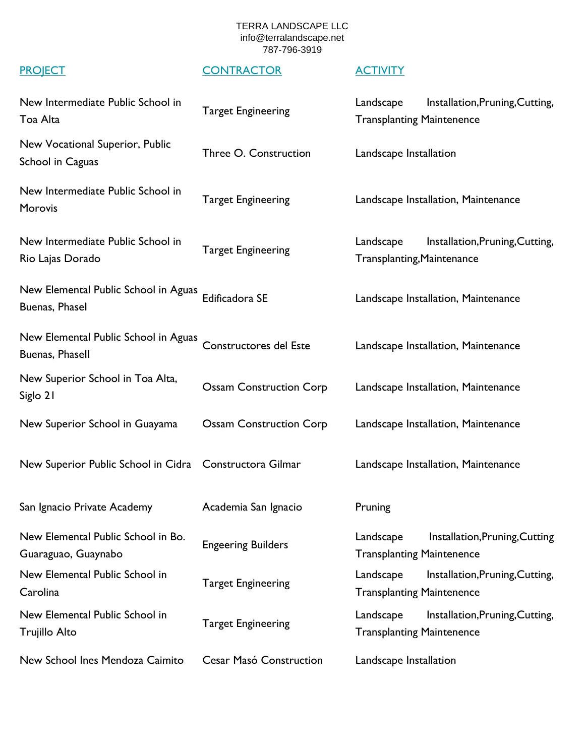| New Intermediate Public School in<br>Toa Alta             | <b>Target Engineering</b>      | Landscape<br>Installation, Pruning, Cutting,<br><b>Transplanting Maintenence</b> |
|-----------------------------------------------------------|--------------------------------|----------------------------------------------------------------------------------|
| New Vocational Superior, Public<br>School in Caguas       | Three O. Construction          | Landscape Installation                                                           |
| New Intermediate Public School in<br>Morovis              | <b>Target Engineering</b>      | Landscape Installation, Maintenance                                              |
| New Intermediate Public School in<br>Rio Lajas Dorado     | <b>Target Engineering</b>      | Landscape<br>Installation, Pruning, Cutting,<br>Transplanting, Maintenance       |
| New Elemental Public School in Aguas<br>Buenas, Phasel    | Edificadora SE                 | Landscape Installation, Maintenance                                              |
| New Elemental Public School in Aguas<br>Buenas, Phasell   | Constructores del Este         | Landscape Installation, Maintenance                                              |
| New Superior School in Toa Alta,<br>Siglo 21              | <b>Ossam Construction Corp</b> | Landscape Installation, Maintenance                                              |
| New Superior School in Guayama                            | <b>Ossam Construction Corp</b> | Landscape Installation, Maintenance                                              |
| New Superior Public School in Cidra Constructora Gilmar   |                                | Landscape Installation, Maintenance                                              |
| San Ignacio Private Academy                               | Academia San Ignacio           | Pruning                                                                          |
| New Elemental Public School in Bo.<br>Guaraguao, Guaynabo | <b>Engeering Builders</b>      | Installation, Pruning, Cutting<br>Landscape<br><b>Transplanting Maintenence</b>  |
| New Elemental Public School in<br>Carolina                | <b>Target Engineering</b>      | Landscape<br>Installation, Pruning, Cutting,<br><b>Transplanting Maintenence</b> |
| New Elemental Public School in<br>Trujillo Alto           | <b>Target Engineering</b>      | Installation, Pruning, Cutting,<br>Landscape<br><b>Transplanting Maintenence</b> |
| New School Ines Mendoza Caimito                           | Cesar Masó Construction        | Landscape Installation                                                           |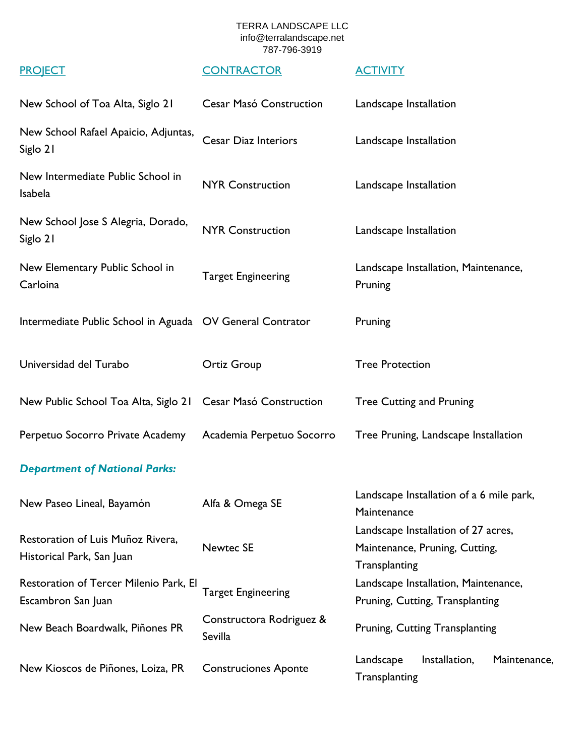| New School of Toa Alta, Siglo 21                               | Cesar Masó Construction             | Landscape Installation                                                                 |
|----------------------------------------------------------------|-------------------------------------|----------------------------------------------------------------------------------------|
| New School Rafael Apaicio, Adjuntas,<br>Siglo 21               | <b>Cesar Diaz Interiors</b>         | Landscape Installation                                                                 |
| New Intermediate Public School in<br>Isabela                   | <b>NYR Construction</b>             | Landscape Installation                                                                 |
| New School Jose S Alegria, Dorado,<br>Siglo 21                 | <b>NYR Construction</b>             | Landscape Installation                                                                 |
| New Elementary Public School in<br>Carloina                    | <b>Target Engineering</b>           | Landscape Installation, Maintenance,<br>Pruning                                        |
| Intermediate Public School in Aguada OV General Contrator      |                                     | Pruning                                                                                |
| Universidad del Turabo                                         | <b>Ortiz Group</b>                  | <b>Tree Protection</b>                                                                 |
| New Public School Toa Alta, Siglo 21 Cesar Masó Construction   |                                     | <b>Tree Cutting and Pruning</b>                                                        |
| Perpetuo Socorro Private Academy                               | Academia Perpetuo Socorro           | Tree Pruning, Landscape Installation                                                   |
| <b>Department of National Parks:</b>                           |                                     |                                                                                        |
| New Paseo Lineal, Bayamón                                      | Alfa & Omega SE                     | Landscape Installation of a 6 mile park,<br>Maintenance                                |
| Restoration of Luis Muñoz Rivera,<br>Historical Park, San Juan | <b>Newtec SE</b>                    | Landscape Installation of 27 acres,<br>Maintenance, Pruning, Cutting,<br>Transplanting |
| Restoration of Tercer Milenio Park, El<br>Escambron San Juan   | <b>Target Engineering</b>           | Landscape Installation, Maintenance,<br>Pruning, Cutting, Transplanting                |
| New Beach Boardwalk, Piñones PR                                | Constructora Rodriguez &<br>Sevilla | Pruning, Cutting Transplanting                                                         |
| New Kioscos de Piñones, Loiza, PR                              | <b>Construciones Aponte</b>         | Installation,<br>Landscape<br>Maintenance,<br>Transplanting                            |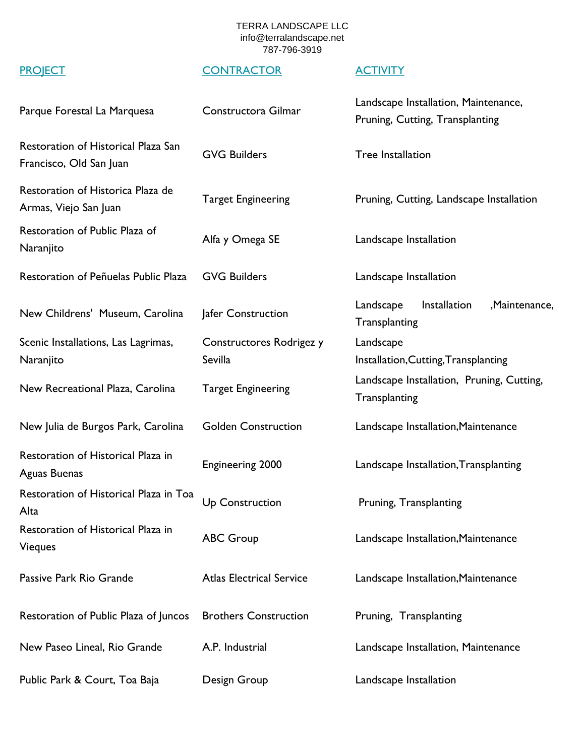| Parque Forestal La Marquesa                                    | Constructora Gilmar             | Landscape Installation, Maintenance,<br>Pruning, Cutting, Transplanting |
|----------------------------------------------------------------|---------------------------------|-------------------------------------------------------------------------|
| Restoration of Historical Plaza San<br>Francisco, Old San Juan | <b>GVG Builders</b>             | <b>Tree Installation</b>                                                |
| Restoration of Historica Plaza de<br>Armas, Viejo San Juan     | <b>Target Engineering</b>       | Pruning, Cutting, Landscape Installation                                |
| Restoration of Public Plaza of<br>Naranjito                    | Alfa y Omega SE                 | Landscape Installation                                                  |
| Restoration of Peñuelas Public Plaza                           | <b>GVG Builders</b>             | Landscape Installation                                                  |
| New Childrens' Museum, Carolina                                | Jafer Construction              | Installation<br>Landscape<br>,Maintenance,<br>Transplanting             |
| Scenic Installations, Las Lagrimas,                            | Constructores Rodrigez y        | Landscape                                                               |
| Naranjito                                                      | Sevilla                         | Installation, Cutting, Transplanting                                    |
| New Recreational Plaza, Carolina                               | <b>Target Engineering</b>       | Landscape Installation, Pruning, Cutting,<br>Transplanting              |
| New Julia de Burgos Park, Carolina                             | <b>Golden Construction</b>      | Landscape Installation, Maintenance                                     |
| Restoration of Historical Plaza in<br>Aguas Buenas             | <b>Engineering 2000</b>         | Landscape Installation, Transplanting                                   |
| Restoration of Historical Plaza in Toa<br>Alta                 | <b>Up Construction</b>          | Pruning, Transplanting                                                  |
| Restoration of Historical Plaza in<br>Vieques                  | <b>ABC Group</b>                | Landscape Installation, Maintenance                                     |
| Passive Park Rio Grande                                        | <b>Atlas Electrical Service</b> | Landscape Installation, Maintenance                                     |
| Restoration of Public Plaza of Juncos                          | <b>Brothers Construction</b>    | Pruning, Transplanting                                                  |
| New Paseo Lineal, Rio Grande                                   | A.P. Industrial                 | Landscape Installation, Maintenance                                     |
| Public Park & Court, Toa Baja                                  | Design Group                    | Landscape Installation                                                  |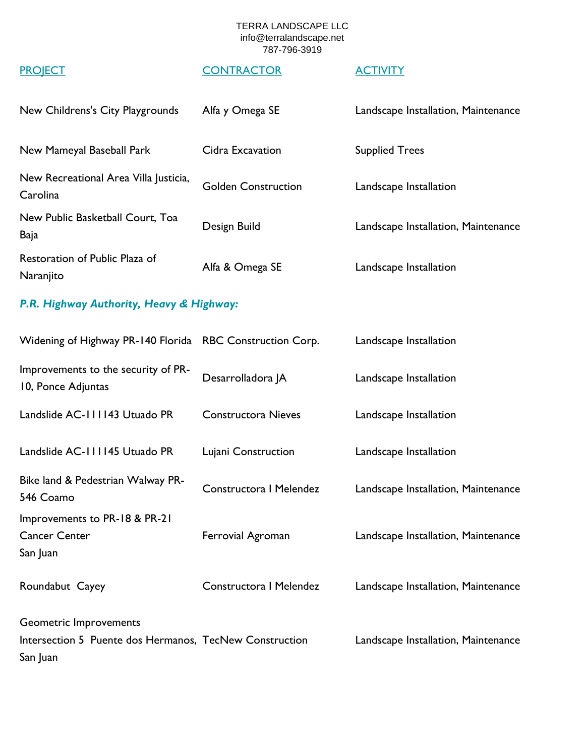# PROJECT CONTRACTOR ACTIVITY

| New Childrens's City Playgrounds                  | Alfa y Omega SE            | Landscape Installation, Maintenance |
|---------------------------------------------------|----------------------------|-------------------------------------|
| New Mameyal Baseball Park                         | Cidra Excavation           | <b>Supplied Trees</b>               |
| New Recreational Area Villa Justicia,<br>Carolina | <b>Golden Construction</b> | Landscape Installation              |
| New Public Basketball Court, Toa<br>Baja          | Design Build               | Landscape Installation, Maintenance |
| Restoration of Public Plaza of<br>Naranjito       | Alfa & Omega SE            | Landscape Installation              |

## *P.R. Highway Authority, Heavy & Highway:*

| Widening of Highway PR-140 Florida RBC Construction Corp.                                     |                            | Landscape Installation              |
|-----------------------------------------------------------------------------------------------|----------------------------|-------------------------------------|
| Improvements to the security of PR-<br>10, Ponce Adjuntas                                     | Desarrolladora JA          | Landscape Installation              |
| Landslide AC-111143 Utuado PR                                                                 | <b>Constructora Nieves</b> | Landscape Installation              |
| Landslide AC-111145 Utuado PR                                                                 | Lujani Construction        | Landscape Installation              |
| Bike land & Pedestrian Walway PR-<br>546 Coamo                                                | Constructora I Melendez    | Landscape Installation, Maintenance |
| Improvements to PR-18 & PR-21<br><b>Cancer Center</b><br>San Juan                             | Ferrovial Agroman          | Landscape Installation, Maintenance |
| Roundabut Cayey                                                                               | Constructora I Melendez    | Landscape Installation, Maintenance |
| Geometric Improvements<br>Intersection 5 Puente dos Hermanos, TecNew Construction<br>San Juan |                            | Landscape Installation, Maintenance |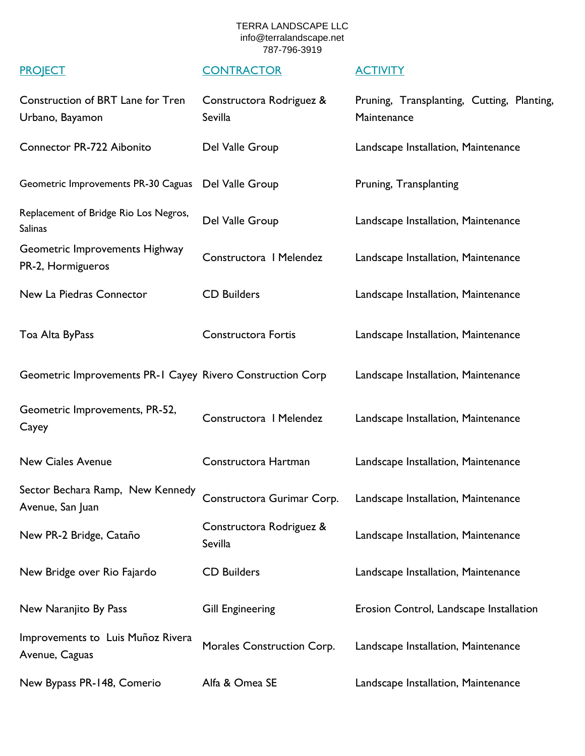| Construction of BRT Lane for Tren<br>Urbano, Bayamon       | Constructora Rodriguez &<br>Sevilla | Pruning, Transplanting, Cutting, Planting,<br>Maintenance |
|------------------------------------------------------------|-------------------------------------|-----------------------------------------------------------|
| Connector PR-722 Aibonito                                  | Del Valle Group                     | Landscape Installation, Maintenance                       |
| Geometric Improvements PR-30 Caguas                        | Del Valle Group                     | Pruning, Transplanting                                    |
| Replacement of Bridge Rio Los Negros,<br>Salinas           | Del Valle Group                     | Landscape Installation, Maintenance                       |
| Geometric Improvements Highway<br>PR-2, Hormigueros        | Constructora   Melendez             | Landscape Installation, Maintenance                       |
| New La Piedras Connector                                   | <b>CD Builders</b>                  | Landscape Installation, Maintenance                       |
| Toa Alta ByPass                                            | <b>Constructora Fortis</b>          | Landscape Installation, Maintenance                       |
| Geometric Improvements PR-1 Cayey Rivero Construction Corp |                                     | Landscape Installation, Maintenance                       |
| Geometric Improvements, PR-52,<br>Cayey                    | Constructora   Melendez             | Landscape Installation, Maintenance                       |
| <b>New Ciales Avenue</b>                                   | Constructora Hartman                | Landscape Installation, Maintenance                       |
| Sector Bechara Ramp, New Kennedy<br>Avenue, San Juan       | Constructora Gurimar Corp.          | Landscape Installation, Maintenance                       |
| New PR-2 Bridge, Cataño                                    | Constructora Rodriguez &<br>Sevilla | Landscape Installation, Maintenance                       |
| New Bridge over Rio Fajardo                                | <b>CD Builders</b>                  | Landscape Installation, Maintenance                       |
| New Naranjito By Pass                                      | <b>Gill Engineering</b>             | Erosion Control, Landscape Installation                   |
| Improvements to Luis Muñoz Rivera<br>Avenue, Caguas        | Morales Construction Corp.          | Landscape Installation, Maintenance                       |
| New Bypass PR-148, Comerio                                 | Alfa & Omea SE                      | Landscape Installation, Maintenance                       |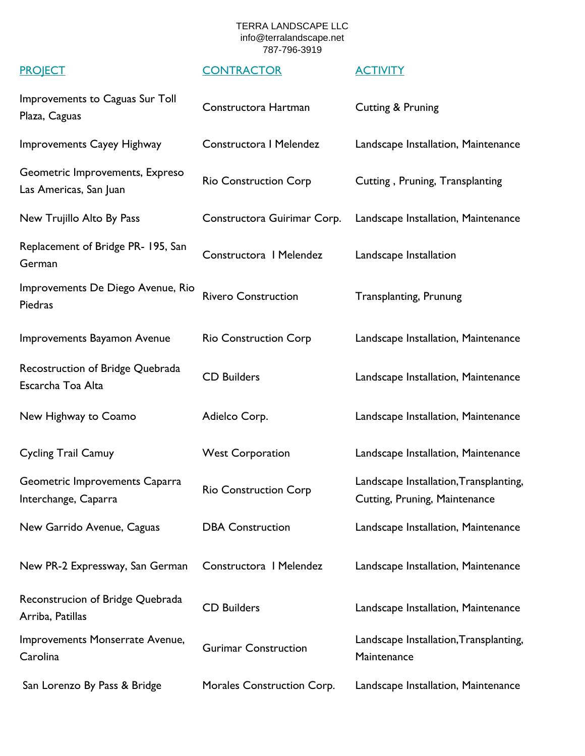| Improvements to Caguas Sur Toll<br>Plaza, Caguas          | Constructora Hartman         | Cutting & Pruning                                                       |
|-----------------------------------------------------------|------------------------------|-------------------------------------------------------------------------|
| Improvements Cayey Highway                                | Constructora I Melendez      | Landscape Installation, Maintenance                                     |
| Geometric Improvements, Expreso<br>Las Americas, San Juan | <b>Rio Construction Corp</b> | Cutting, Pruning, Transplanting                                         |
| New Trujillo Alto By Pass                                 | Constructora Guirimar Corp.  | Landscape Installation, Maintenance                                     |
| Replacement of Bridge PR- 195, San<br>German              | Constructora   Melendez      | Landscape Installation                                                  |
| Improvements De Diego Avenue, Rio<br>Piedras              | <b>Rivero Construction</b>   | <b>Transplanting, Prunung</b>                                           |
| Improvements Bayamon Avenue                               | <b>Rio Construction Corp</b> | Landscape Installation, Maintenance                                     |
| Recostruction of Bridge Quebrada<br>Escarcha Toa Alta     | <b>CD Builders</b>           | Landscape Installation, Maintenance                                     |
| New Highway to Coamo                                      | Adielco Corp.                | Landscape Installation, Maintenance                                     |
| <b>Cycling Trail Camuy</b>                                | <b>West Corporation</b>      | Landscape Installation, Maintenance                                     |
| Geometric Improvements Caparra<br>Interchange, Caparra    | <b>Rio Construction Corp</b> | Landscape Installation, Transplanting,<br>Cutting, Pruning, Maintenance |
| New Garrido Avenue, Caguas                                | <b>DBA Construction</b>      | Landscape Installation, Maintenance                                     |
| New PR-2 Expressway, San German                           | Constructora I Melendez      | Landscape Installation, Maintenance                                     |
| Reconstrucion of Bridge Quebrada<br>Arriba, Patillas      | <b>CD Builders</b>           | Landscape Installation, Maintenance                                     |
| Improvements Monserrate Avenue,<br>Carolina               | <b>Gurimar Construction</b>  | Landscape Installation, Transplanting,<br>Maintenance                   |
| San Lorenzo By Pass & Bridge                              | Morales Construction Corp.   | Landscape Installation, Maintenance                                     |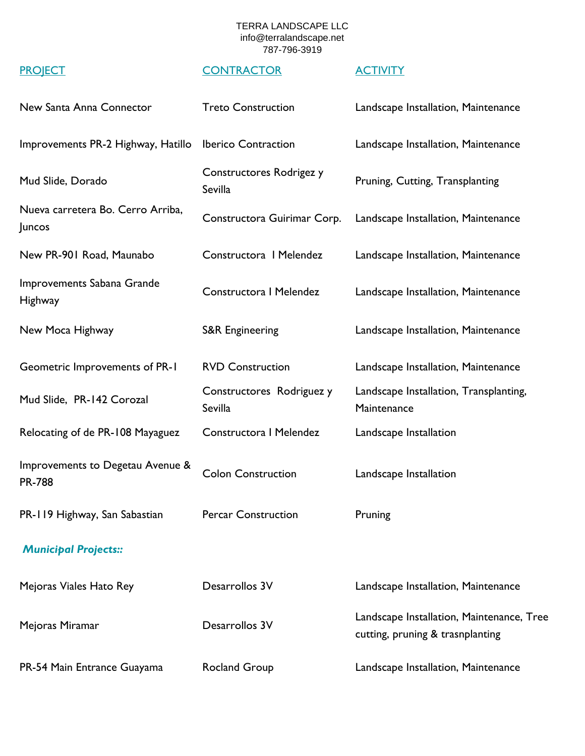| New Santa Anna Connector                          | <b>Treto Construction</b>            | Landscape Installation, Maintenance                                           |
|---------------------------------------------------|--------------------------------------|-------------------------------------------------------------------------------|
| Improvements PR-2 Highway, Hatillo                | <b>Iberico Contraction</b>           | Landscape Installation, Maintenance                                           |
| Mud Slide, Dorado                                 | Constructores Rodrigez y<br>Sevilla  | Pruning, Cutting, Transplanting                                               |
| Nueva carretera Bo. Cerro Arriba,<br>Juncos       | Constructora Guirimar Corp.          | Landscape Installation, Maintenance                                           |
| New PR-901 Road, Maunabo                          | Constructora I Melendez              | Landscape Installation, Maintenance                                           |
| Improvements Sabana Grande<br>Highway             | Constructora I Melendez              | Landscape Installation, Maintenance                                           |
| New Moca Highway                                  | <b>S&amp;R Engineering</b>           | Landscape Installation, Maintenance                                           |
| Geometric Improvements of PR-1                    | <b>RVD Construction</b>              | Landscape Installation, Maintenance                                           |
| Mud Slide, PR-142 Corozal                         | Constructores Rodriguez y<br>Sevilla | Landscape Installation, Transplanting,<br>Maintenance                         |
| Relocating of de PR-108 Mayaguez                  | Constructora I Melendez              | Landscape Installation                                                        |
| Improvements to Degetau Avenue &<br><b>PR-788</b> | <b>Colon Construction</b>            | Landscape Installation                                                        |
| PR-119 Highway, San Sabastian                     | <b>Percar Construction</b>           | Pruning                                                                       |
| <b>Municipal Projects::</b>                       |                                      |                                                                               |
| Mejoras Viales Hato Rey                           | Desarrollos 3V                       | Landscape Installation, Maintenance                                           |
| Mejoras Miramar                                   | Desarrollos 3V                       | Landscape Installation, Maintenance, Tree<br>cutting, pruning & trasnplanting |
| PR-54 Main Entrance Guayama                       | <b>Rocland Group</b>                 | Landscape Installation, Maintenance                                           |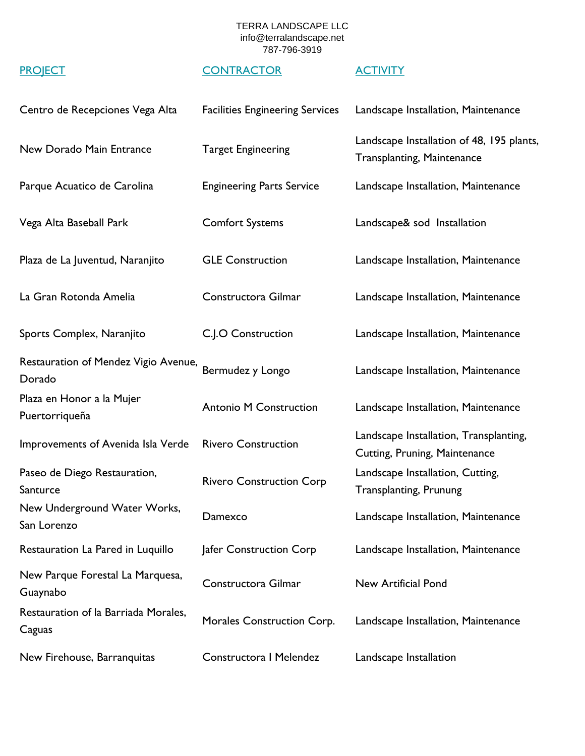| Centro de Recepciones Vega Alta                | <b>Facilities Engineering Services</b> | Landscape Installation, Maintenance                                            |
|------------------------------------------------|----------------------------------------|--------------------------------------------------------------------------------|
| New Dorado Main Entrance                       | <b>Target Engineering</b>              | Landscape Installation of 48, 195 plants,<br><b>Transplanting, Maintenance</b> |
| Parque Acuatico de Carolina                    | <b>Engineering Parts Service</b>       | Landscape Installation, Maintenance                                            |
| Vega Alta Baseball Park                        | <b>Comfort Systems</b>                 | Landscape& sod Installation                                                    |
| Plaza de La Juventud, Naranjito                | <b>GLE Construction</b>                | Landscape Installation, Maintenance                                            |
| La Gran Rotonda Amelia                         | Constructora Gilmar                    | Landscape Installation, Maintenance                                            |
| Sports Complex, Naranjito                      | C.J.O Construction                     | Landscape Installation, Maintenance                                            |
| Restauration of Mendez Vigio Avenue,<br>Dorado | Bermudez y Longo                       | Landscape Installation, Maintenance                                            |
| Plaza en Honor a la Mujer<br>Puertorriqueña    | <b>Antonio M Construction</b>          | Landscape Installation, Maintenance                                            |
| Improvements of Avenida Isla Verde             | <b>Rivero Construction</b>             | Landscape Installation, Transplanting,<br>Cutting, Pruning, Maintenance        |
| Paseo de Diego Restauration,<br>Santurce       | <b>Rivero Construction Corp</b>        | Landscape Installation, Cutting,<br><b>Transplanting, Prunung</b>              |
| New Underground Water Works,<br>San Lorenzo    | Damexco                                | Landscape Installation, Maintenance                                            |
| Restauration La Pared in Luquillo              | Jafer Construction Corp                | Landscape Installation, Maintenance                                            |
| New Parque Forestal La Marquesa,<br>Guaynabo   | Constructora Gilmar                    | New Artificial Pond                                                            |
| Restauration of la Barriada Morales,<br>Caguas | Morales Construction Corp.             | Landscape Installation, Maintenance                                            |
| New Firehouse, Barranquitas                    | Constructora   Melendez                | Landscape Installation                                                         |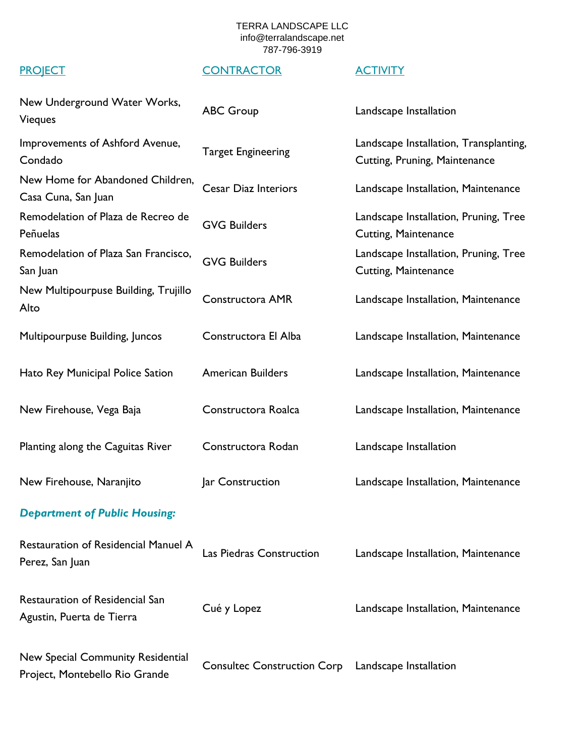| New Underground Water Works,<br>Vieques                             | <b>ABC Group</b>                   | Landscape Installation                                                  |
|---------------------------------------------------------------------|------------------------------------|-------------------------------------------------------------------------|
| Improvements of Ashford Avenue,<br>Condado                          | <b>Target Engineering</b>          | Landscape Installation, Transplanting,<br>Cutting, Pruning, Maintenance |
| New Home for Abandoned Children,<br>Casa Cuna, San Juan             | <b>Cesar Diaz Interiors</b>        | Landscape Installation, Maintenance                                     |
| Remodelation of Plaza de Recreo de<br>Peñuelas                      | <b>GVG Builders</b>                | Landscape Installation, Pruning, Tree<br><b>Cutting, Maintenance</b>    |
| Remodelation of Plaza San Francisco,<br>San Juan                    | <b>GVG Builders</b>                | Landscape Installation, Pruning, Tree<br><b>Cutting, Maintenance</b>    |
| New Multipourpuse Building, Trujillo<br>Alto                        | <b>Constructora AMR</b>            | Landscape Installation, Maintenance                                     |
| Multipourpuse Building, Juncos                                      | Constructora El Alba               | Landscape Installation, Maintenance                                     |
| Hato Rey Municipal Police Sation                                    | <b>American Builders</b>           | Landscape Installation, Maintenance                                     |
| New Firehouse, Vega Baja                                            | Constructora Roalca                | Landscape Installation, Maintenance                                     |
| Planting along the Caguitas River                                   | Constructora Rodan                 | Landscape Installation                                                  |
| New Firehouse, Naranjito                                            | Jar Construction                   | Landscape Installation, Maintenance                                     |
| <b>Department of Public Housing:</b>                                |                                    |                                                                         |
| Restauration of Residencial Manuel A<br>Perez, San Juan             | Las Piedras Construction           | Landscape Installation, Maintenance                                     |
| <b>Restauration of Residencial San</b><br>Agustin, Puerta de Tierra | Cué y Lopez                        | Landscape Installation, Maintenance                                     |
| New Special Community Residential<br>Project, Montebello Rio Grande | <b>Consultec Construction Corp</b> | Landscape Installation                                                  |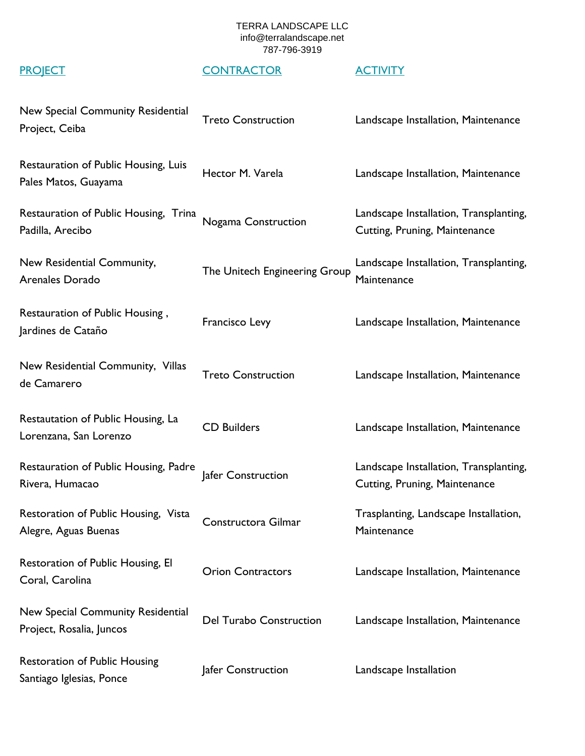| New Special Community Residential<br>Project, Ceiba              | <b>Treto Construction</b>      | Landscape Installation, Maintenance                                     |
|------------------------------------------------------------------|--------------------------------|-------------------------------------------------------------------------|
| Restauration of Public Housing, Luis<br>Pales Matos, Guayama     | Hector M. Varela               | Landscape Installation, Maintenance                                     |
| Restauration of Public Housing, Trina<br>Padilla, Arecibo        | Nogama Construction            | Landscape Installation, Transplanting,<br>Cutting, Pruning, Maintenance |
| New Residential Community,<br>Arenales Dorado                    | The Unitech Engineering Group  | Landscape Installation, Transplanting,<br>Maintenance                   |
| Restauration of Public Housing,<br>Jardines de Cataño            | Francisco Levy                 | Landscape Installation, Maintenance                                     |
| New Residential Community, Villas<br>de Camarero                 | <b>Treto Construction</b>      | Landscape Installation, Maintenance                                     |
| Restautation of Public Housing, La<br>Lorenzana, San Lorenzo     | <b>CD Builders</b>             | Landscape Installation, Maintenance                                     |
| Restauration of Public Housing, Padre<br>Rivera, Humacao         | Jafer Construction             | Landscape Installation, Transplanting,<br>Cutting, Pruning, Maintenance |
| Restoration of Public Housing, Vista<br>Alegre, Aguas Buenas     | Constructora Gilmar            | Trasplanting, Landscape Installation,<br>Maintenance                    |
| Restoration of Public Housing, El<br>Coral, Carolina             | <b>Orion Contractors</b>       | Landscape Installation, Maintenance                                     |
| New Special Community Residential<br>Project, Rosalia, Juncos    | <b>Del Turabo Construction</b> | Landscape Installation, Maintenance                                     |
| <b>Restoration of Public Housing</b><br>Santiago Iglesias, Ponce | Jafer Construction             | Landscape Installation                                                  |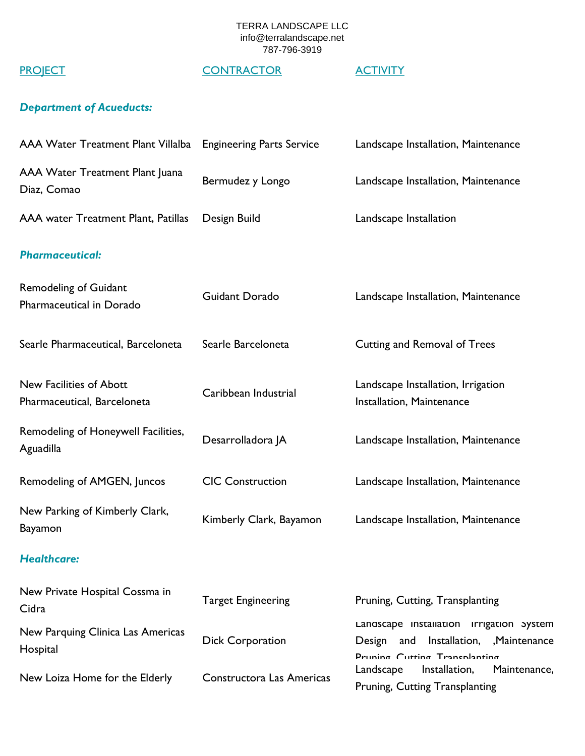## PROJECT CONTRACTOR ACTIVITY

## *Department of Acueducts:*

| <b>AAA Water Treatment Plant Villalba</b>                | <b>Engineering Parts Service</b> | Landscape Installation, Maintenance                                                                               |
|----------------------------------------------------------|----------------------------------|-------------------------------------------------------------------------------------------------------------------|
| AAA Water Treatment Plant Juana<br>Diaz, Comao           | Bermudez y Longo                 | Landscape Installation, Maintenance                                                                               |
| AAA water Treatment Plant, Patillas                      | Design Build                     | Landscape Installation                                                                                            |
| <b>Pharmaceutical:</b>                                   |                                  |                                                                                                                   |
| <b>Remodeling of Guidant</b><br>Pharmaceutical in Dorado | Guidant Dorado                   | Landscape Installation, Maintenance                                                                               |
| Searle Pharmaceutical, Barceloneta                       | Searle Barceloneta               | Cutting and Removal of Trees                                                                                      |
| New Facilities of Abott<br>Pharmaceutical, Barceloneta   | Caribbean Industrial             | Landscape Installation, Irrigation<br>Installation, Maintenance                                                   |
| Remodeling of Honeywell Facilities,<br>Aguadilla         | Desarrolladora JA                | Landscape Installation, Maintenance                                                                               |
| Remodeling of AMGEN, Juncos                              | <b>CIC Construction</b>          | Landscape Installation, Maintenance                                                                               |
| New Parking of Kimberly Clark,<br><b>Bayamon</b>         | Kimberly Clark, Bayamon          | Landscape Installation, Maintenance                                                                               |
| <b>Healthcare:</b>                                       |                                  |                                                                                                                   |
| New Private Hospital Cossma in<br>Cidra                  | <b>Target Engineering</b>        | Pruning, Cutting, Transplanting                                                                                   |
| New Parquing Clinica Las Americas<br>Hospital            | <b>Dick Corporation</b>          | Landscape Installation Irrigation System<br>Design and Installation, Maintenance<br>Pruning Cutting Transplanting |
| New Loiza Home for the Elderly                           | Constructora Las Americas        | Installation,<br>Maintenance,<br>Landscape<br>Pruning, Cutting Transplanting                                      |